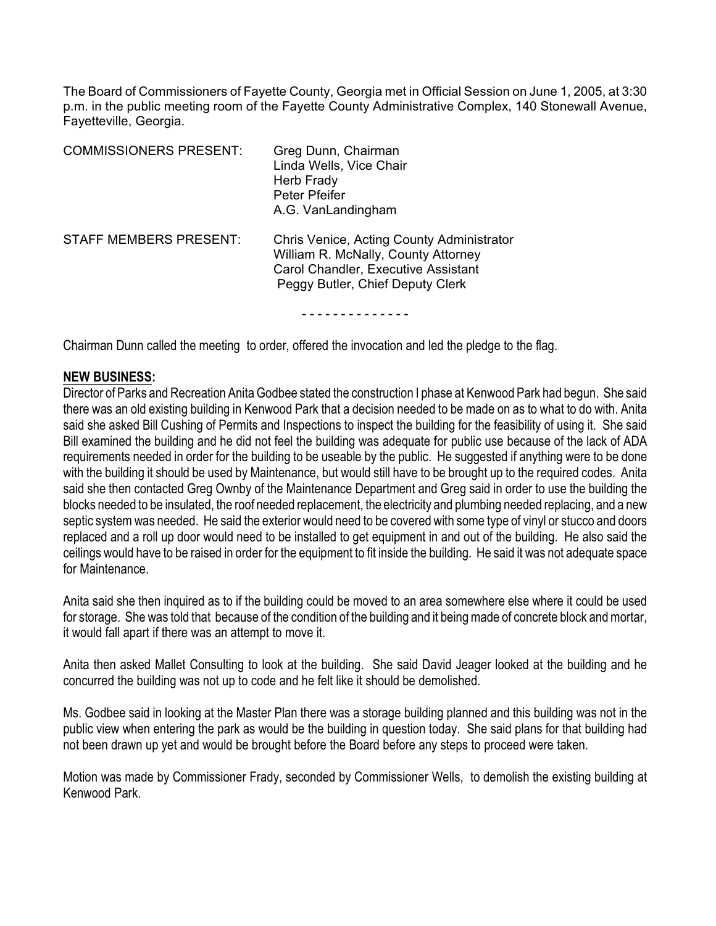The Board of Commissioners of Fayette County, Georgia met in Official Session on June 1, 2005, at 3:30 p.m. in the public meeting room of the Fayette County Administrative Complex, 140 Stonewall Avenue, Fayetteville, Georgia.

| <b>COMMISSIONERS PRESENT:</b> | Greg Dunn, Chairman<br>Linda Wells, Vice Chair<br>Herb Frady<br>Peter Pfeifer<br>A.G. VanLandingham                                                         |
|-------------------------------|-------------------------------------------------------------------------------------------------------------------------------------------------------------|
| STAFF MEMBERS PRESENT:        | Chris Venice, Acting County Administrator<br>William R. McNally, County Attorney<br>Carol Chandler, Executive Assistant<br>Peggy Butler, Chief Deputy Clerk |
|                               |                                                                                                                                                             |

Chairman Dunn called the meeting to order, offered the invocation and led the pledge to the flag.

### **NEW BUSINESS:**

Director of Parks and Recreation Anita Godbee stated the construction I phase at Kenwood Park had begun. She said there was an old existing building in Kenwood Park that a decision needed to be made on as to what to do with. Anita said she asked Bill Cushing of Permits and Inspections to inspect the building for the feasibility of using it. She said Bill examined the building and he did not feel the building was adequate for public use because of the lack of ADA requirements needed in order for the building to be useable by the public. He suggested if anything were to be done with the building it should be used by Maintenance, but would still have to be brought up to the required codes. Anita said she then contacted Greg Ownby of the Maintenance Department and Greg said in order to use the building the blocks needed to be insulated, the roof needed replacement, the electricity and plumbing needed replacing, and a new septic system was needed. He said the exterior would need to be covered with some type of vinyl or stucco and doors replaced and a roll up door would need to be installed to get equipment in and out of the building. He also said the ceilings would have to be raised in order for the equipment to fit inside the building. He said it was not adequate space for Maintenance.

Anita said she then inquired as to if the building could be moved to an area somewhere else where it could be used for storage. She was told that because of the condition of the building and it being made of concrete block and mortar, it would fall apart if there was an attempt to move it.

Anita then asked Mallet Consulting to look at the building. She said David Jeager looked at the building and he concurred the building was not up to code and he felt like it should be demolished.

Ms. Godbee said in looking at the Master Plan there was a storage building planned and this building was not in the public view when entering the park as would be the building in question today. She said plans for that building had not been drawn up yet and would be brought before the Board before any steps to proceed were taken.

Motion was made by Commissioner Frady, seconded by Commissioner Wells, to demolish the existing building at Kenwood Park.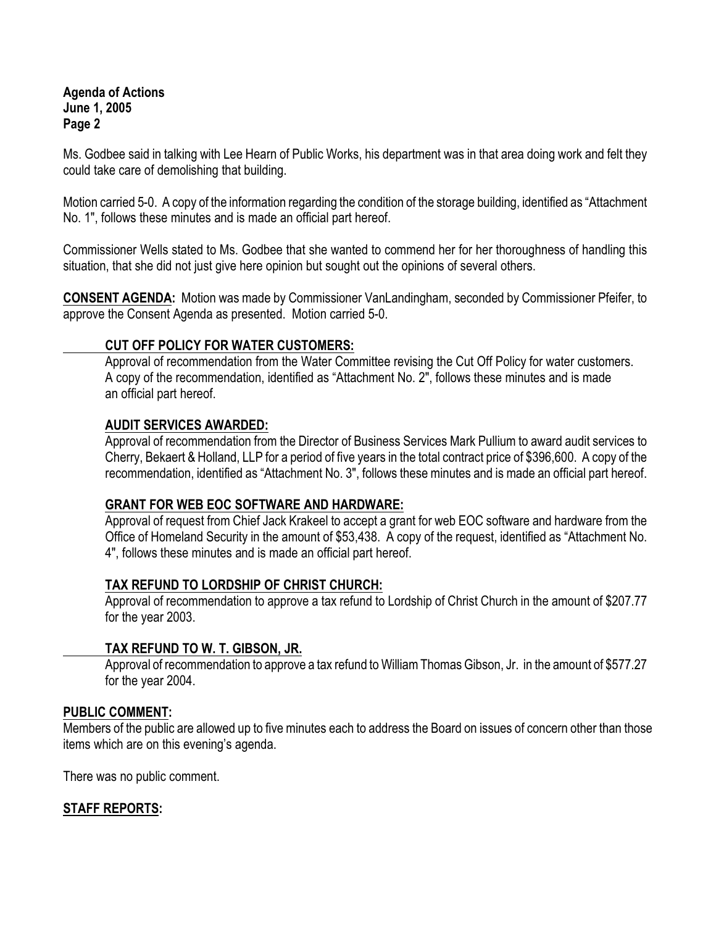### **Agenda of Actions June 1, 2005 Page 2**

Ms. Godbee said in talking with Lee Hearn of Public Works, his department was in that area doing work and felt they could take care of demolishing that building.

Motion carried 5-0. A copy of the information regarding the condition of the storage building, identified as "Attachment No. 1", follows these minutes and is made an official part hereof.

Commissioner Wells stated to Ms. Godbee that she wanted to commend her for her thoroughness of handling this situation, that she did not just give here opinion but sought out the opinions of several others.

**CONSENT AGENDA:** Motion was made by Commissioner VanLandingham, seconded by Commissioner Pfeifer, to approve the Consent Agenda as presented. Motion carried 5-0.

## **CUT OFF POLICY FOR WATER CUSTOMERS:**

Approval of recommendation from the Water Committee revising the Cut Off Policy for water customers. A copy of the recommendation, identified as "Attachment No. 2", follows these minutes and is made an official part hereof.

### **AUDIT SERVICES AWARDED:**

Approval of recommendation from the Director of Business Services Mark Pullium to award audit services to Cherry, Bekaert & Holland, LLP for a period of five years in the total contract price of \$396,600.A copy of the recommendation, identified as "Attachment No. 3", follows these minutes and is made an official part hereof.

### **GRANT FOR WEB EOC SOFTWARE AND HARDWARE:**

Approval of request from Chief Jack Krakeel to accept a grant for web EOC software and hardware from the Office of Homeland Security in the amount of \$53,438. A copy of the request, identified as "Attachment No. 4", follows these minutes and is made an official part hereof.

### **TAX REFUND TO LORDSHIP OF CHRIST CHURCH:**

Approval of recommendation to approve a tax refund to Lordship of Christ Church in the amount of \$207.77 for the year 2003.

### **TAX REFUND TO W. T. GIBSON, JR.**

Approval of recommendation to approve a tax refund to William Thomas Gibson, Jr. in the amount of \$577.27 for the year 2004.

### **PUBLIC COMMENT:**

Members of the public are allowed up to five minutes each to address the Board on issues of concern other than those items which are on this evening's agenda.

There was no public comment.

# **STAFF REPORTS:**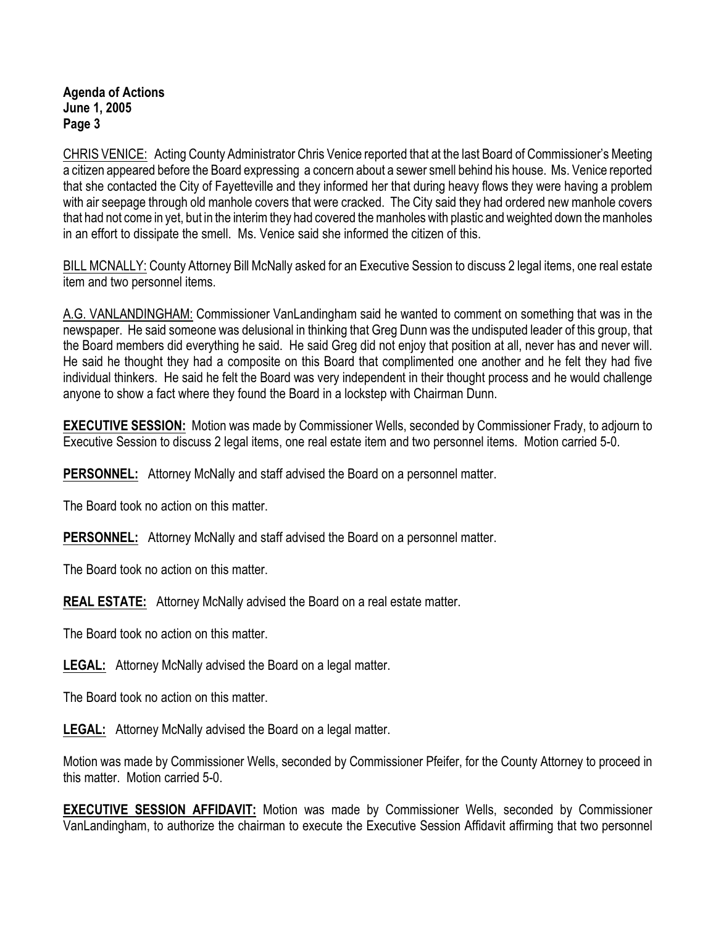### **Agenda of Actions June 1, 2005 Page 3**

CHRIS VENICE: Acting County Administrator Chris Venice reported that at the last Board of Commissioner's Meeting a citizen appeared before the Board expressing a concern about a sewer smell behind his house. Ms. Venice reported that she contacted the City of Fayetteville and they informed her that during heavy flows they were having a problem with air seepage through old manhole covers that were cracked. The City said they had ordered new manhole covers that had not come in yet, but in the interim they had covered the manholes with plastic and weighted down the manholes in an effort to dissipate the smell. Ms. Venice said she informed the citizen of this.

BILL MCNALLY: County Attorney Bill McNally asked for an Executive Session to discuss 2 legal items, one real estate item and two personnel items.

A.G. VANLANDINGHAM: Commissioner VanLandingham said he wanted to comment on something that was in the newspaper. He said someone was delusional in thinking that Greg Dunn was the undisputed leader of this group, that the Board members did everything he said. He said Greg did not enjoy that position at all, never has and never will. He said he thought they had a composite on this Board that complimented one another and he felt they had five individual thinkers. He said he felt the Board was very independent in their thought process and he would challenge anyone to show a fact where they found the Board in a lockstep with Chairman Dunn.

**EXECUTIVE SESSION:** Motion was made by Commissioner Wells, seconded by Commissioner Frady, to adjourn to Executive Session to discuss 2 legal items, one real estate item and two personnel items. Motion carried 5-0.

**PERSONNEL:** Attorney McNally and staff advised the Board on a personnel matter.

The Board took no action on this matter.

**PERSONNEL:** Attorney McNally and staff advised the Board on a personnel matter.

The Board took no action on this matter.

**REAL ESTATE:** Attorney McNally advised the Board on a real estate matter.

The Board took no action on this matter.

**LEGAL:** Attorney McNally advised the Board on a legal matter.

The Board took no action on this matter.

**LEGAL:** Attorney McNally advised the Board on a legal matter.

Motion was made by Commissioner Wells, seconded by Commissioner Pfeifer, for the County Attorney to proceed in this matter. Motion carried 5-0.

**EXECUTIVE SESSION AFFIDAVIT:** Motion was made by Commissioner Wells, seconded by Commissioner VanLandingham, to authorize the chairman to execute the Executive Session Affidavit affirming that two personnel